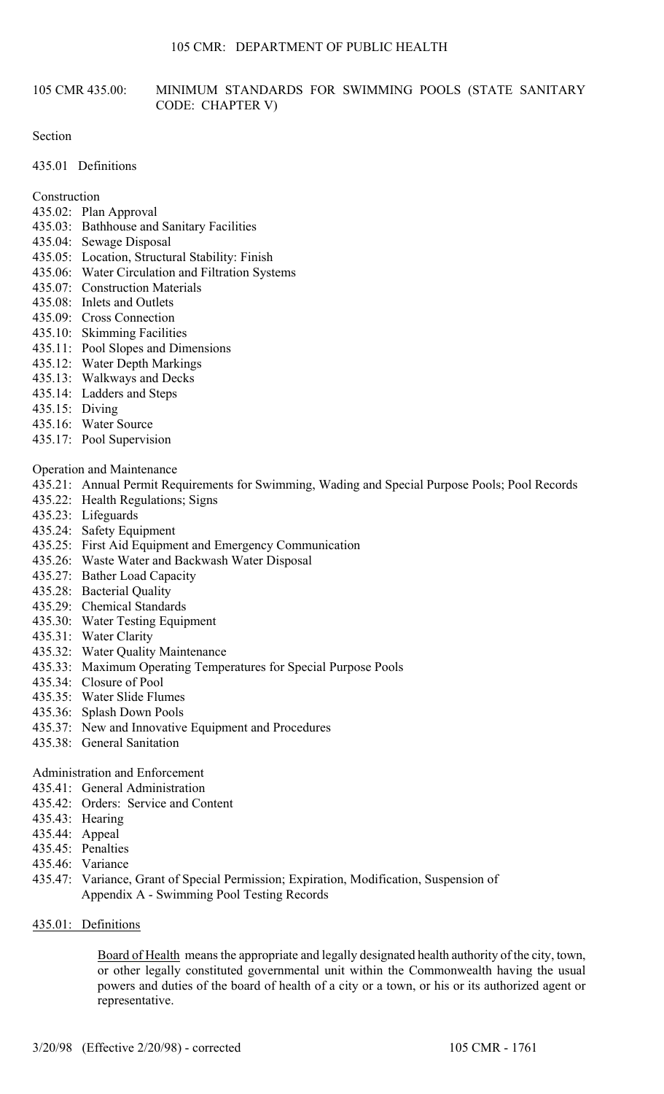## 105 CMR 435.00: MINIMUM STANDARDS FOR SWIMMING POOLS (STATE SANITARY CODE: CHAPTER V)

Section

435.01 Definitions

Construction

- 435.02: Plan Approval
- 435.03: Bathhouse and Sanitary Facilities
- 435.04: Sewage Disposal
- 435.05: Location, Structural Stability: Finish
- 435.06: Water Circulation and Filtration Systems
- 435.07: Construction Materials
- 435.08: Inlets and Outlets
- 435.09: Cross Connection
- 435.10: Skimming Facilities
- 435.11: Pool Slopes and Dimensions
- 435.12: Water Depth Markings
- 435.13: Walkways and Decks
- 435.14: Ladders and Steps
- 435.15: Diving
- 435.16: Water Source
- 435.17: Pool Supervision

## Operation and Maintenance

- 435.21: Annual Permit Requirements for Swimming, Wading and Special Purpose Pools; Pool Records
- 435.22: Health Regulations; Signs
- 435.23: Lifeguards
- 435.24: Safety Equipment
- 435.25: First Aid Equipment and Emergency Communication
- 435.26: Waste Water and Backwash Water Disposal
- 435.27: Bather Load Capacity
- 435.28: Bacterial Quality
- 435.29: Chemical Standards
- 435.30: Water Testing Equipment
- 435.31: Water Clarity
- 435.32: Water Quality Maintenance
- 435.33: Maximum Operating Temperatures for Special Purpose Pools
- 435.34: Closure of Pool
- 435.35: Water Slide Flumes
- 435.36: Splash Down Pools
- 435.37: New and Innovative Equipment and Procedures
- 435.38: General Sanitation

# Administration and Enforcement

- 435.41: General Administration
- 435.42: Orders: Service and Content
- 435.43: Hearing
- 435.44: Appeal
- 435.45: Penalties
- 435.46: Variance
- 435.47: Variance, Grant of Special Permission; Expiration, Modification, Suspension of Appendix A - Swimming Pool Testing Records

## 435.01: Definitions

Board of Health means the appropriate and legally designated health authority of the city, town, or other legally constituted governmental unit within the Commonwealth having the usual powers and duties of the board of health of a city or a town, or his or its authorized agent or representative.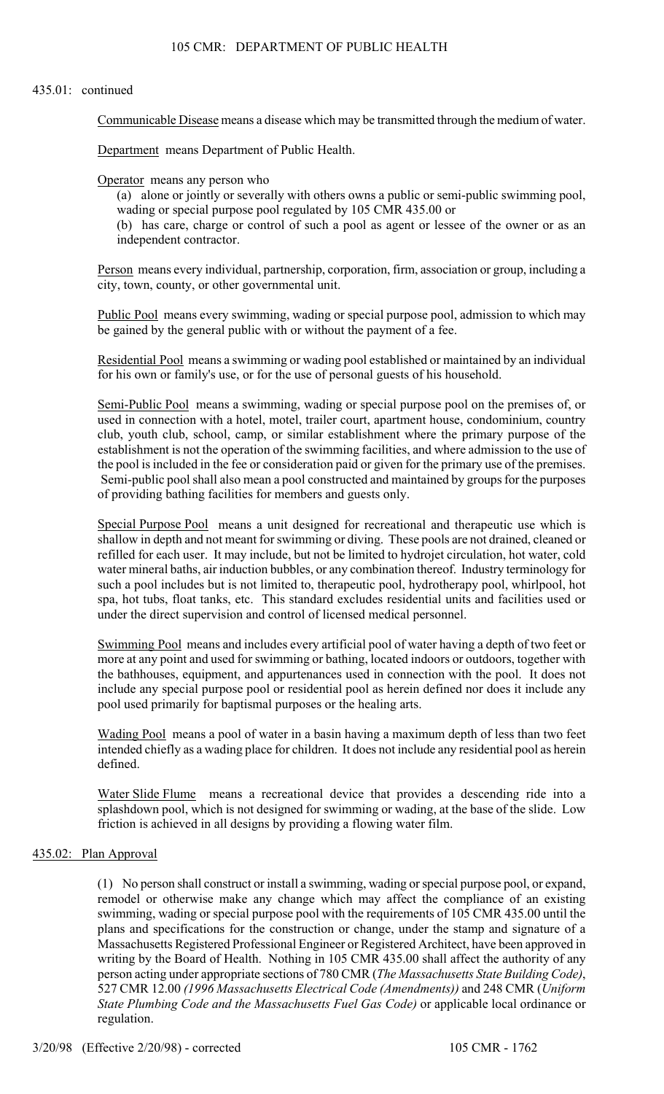#### 435.01: continued

Communicable Disease means a disease which may be transmitted through the medium of water.

Department means Department of Public Health.

Operator means any person who

(a) alone or jointly or severally with others owns a public or semi-public swimming pool, wading or special purpose pool regulated by 105 CMR 435.00 or

(b) has care, charge or control of such a pool as agent or lessee of the owner or as an independent contractor.

Person means every individual, partnership, corporation, firm, association or group, including a city, town, county, or other governmental unit.

Public Pool means every swimming, wading or special purpose pool, admission to which may be gained by the general public with or without the payment of a fee.

Residential Pool means a swimming or wading pool established or maintained by an individual for his own or family's use, or for the use of personal guests of his household.

Semi-Public Pool means a swimming, wading or special purpose pool on the premises of, or used in connection with a hotel, motel, trailer court, apartment house, condominium, country club, youth club, school, camp, or similar establishment where the primary purpose of the establishment is not the operation of the swimming facilities, and where admission to the use of the pool is included in the fee or consideration paid or given for the primary use of the premises. Semi-public pool shall also mean a pool constructed and maintained by groups for the purposes of providing bathing facilities for members and guests only.

Special Purpose Pool means a unit designed for recreational and therapeutic use which is shallow in depth and not meant for swimming or diving. These pools are not drained, cleaned or refilled for each user. It may include, but not be limited to hydrojet circulation, hot water, cold water mineral baths, air induction bubbles, or any combination thereof. Industry terminology for such a pool includes but is not limited to, therapeutic pool, hydrotherapy pool, whirlpool, hot spa, hot tubs, float tanks, etc. This standard excludes residential units and facilities used or under the direct supervision and control of licensed medical personnel.

Swimming Pool means and includes every artificial pool of water having a depth of two feet or more at any point and used for swimming or bathing, located indoors or outdoors, together with the bathhouses, equipment, and appurtenances used in connection with the pool. It does not include any special purpose pool or residential pool as herein defined nor does it include any pool used primarily for baptismal purposes or the healing arts.

Wading Pool means a pool of water in a basin having a maximum depth of less than two feet intended chiefly as a wading place for children. It does not include any residential pool as herein defined.

Water Slide Flume means a recreational device that provides a descending ride into a splashdown pool, which is not designed for swimming or wading, at the base of the slide. Low friction is achieved in all designs by providing a flowing water film.

## 435.02: Plan Approval

(1) No person shall construct or install a swimming, wading or special purpose pool, or expand, remodel or otherwise make any change which may affect the compliance of an existing swimming, wading or special purpose pool with the requirements of 105 CMR 435.00 until the plans and specifications for the construction or change, under the stamp and signature of a Massachusetts Registered Professional Engineer or Registered Architect, have been approved in writing by the Board of Health. Nothing in 105 CMR 435.00 shall affect the authority of any person acting under appropriate sections of 780 CMR (*The Massachusetts State Building Code)*, 527 CMR 12.00 *(1996 Massachusetts Electrical Code (Amendments))* and 248 CMR (*Uniform State Plumbing Code and the Massachusetts Fuel Gas Code)* or applicable local ordinance or regulation.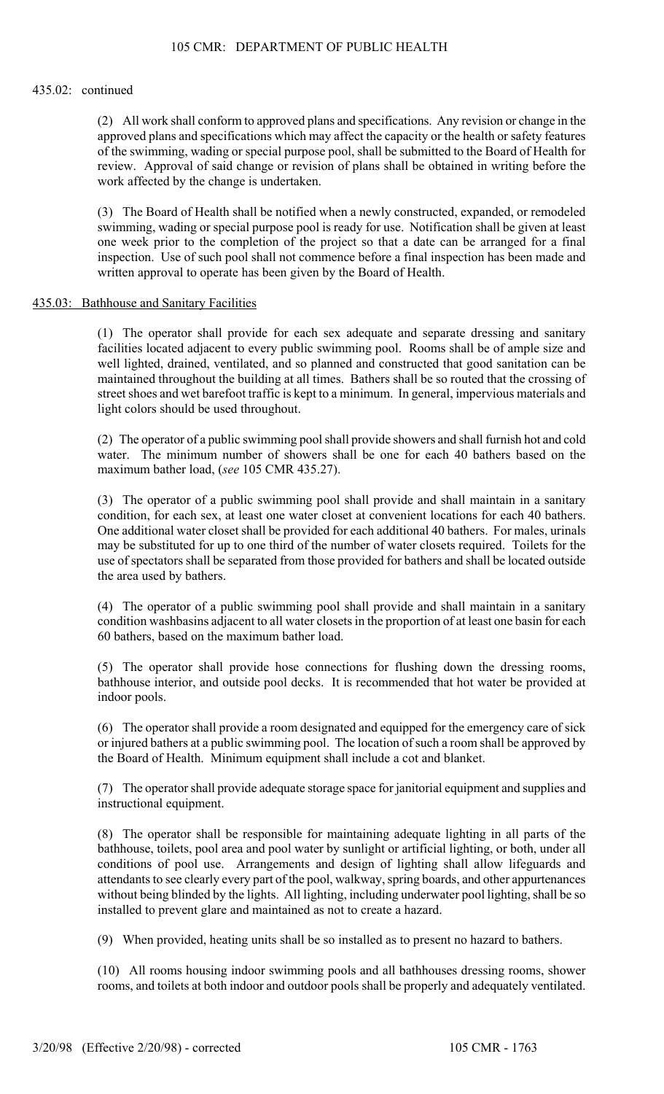### 435.02: continued

(2) All work shall conform to approved plans and specifications. Any revision or change in the approved plans and specifications which may affect the capacity or the health or safety features of the swimming, wading or special purpose pool, shall be submitted to the Board of Health for review. Approval of said change or revision of plans shall be obtained in writing before the work affected by the change is undertaken.

(3) The Board of Health shall be notified when a newly constructed, expanded, or remodeled swimming, wading or special purpose pool is ready for use. Notification shall be given at least one week prior to the completion of the project so that a date can be arranged for a final inspection. Use of such pool shall not commence before a final inspection has been made and written approval to operate has been given by the Board of Health.

## 435.03: Bathhouse and Sanitary Facilities

(1) The operator shall provide for each sex adequate and separate dressing and sanitary facilities located adjacent to every public swimming pool. Rooms shall be of ample size and well lighted, drained, ventilated, and so planned and constructed that good sanitation can be maintained throughout the building at all times. Bathers shall be so routed that the crossing of street shoes and wet barefoot traffic is kept to a minimum. In general, impervious materials and light colors should be used throughout.

(2) The operator of a public swimming pool shall provide showers and shall furnish hot and cold water. The minimum number of showers shall be one for each 40 bathers based on the maximum bather load, (*see* 105 CMR 435.27).

(3) The operator of a public swimming pool shall provide and shall maintain in a sanitary condition, for each sex, at least one water closet at convenient locations for each 40 bathers. One additional water closet shall be provided for each additional 40 bathers. For males, urinals may be substituted for up to one third of the number of water closets required. Toilets for the use of spectators shall be separated from those provided for bathers and shall be located outside the area used by bathers.

(4) The operator of a public swimming pool shall provide and shall maintain in a sanitary condition washbasins adjacent to all water closets in the proportion of at least one basin for each 60 bathers, based on the maximum bather load.

(5) The operator shall provide hose connections for flushing down the dressing rooms, bathhouse interior, and outside pool decks. It is recommended that hot water be provided at indoor pools.

(6) The operator shall provide a room designated and equipped for the emergency care of sick or injured bathers at a public swimming pool. The location of such a room shall be approved by the Board of Health. Minimum equipment shall include a cot and blanket.

(7) The operator shall provide adequate storage space for janitorial equipment and supplies and instructional equipment.

(8) The operator shall be responsible for maintaining adequate lighting in all parts of the bathhouse, toilets, pool area and pool water by sunlight or artificial lighting, or both, under all conditions of pool use. Arrangements and design of lighting shall allow lifeguards and attendants to see clearly every part of the pool, walkway, spring boards, and other appurtenances without being blinded by the lights. All lighting, including underwater pool lighting, shall be so installed to prevent glare and maintained as not to create a hazard.

(9) When provided, heating units shall be so installed as to present no hazard to bathers.

(10) All rooms housing indoor swimming pools and all bathhouses dressing rooms, shower rooms, and toilets at both indoor and outdoor pools shall be properly and adequately ventilated.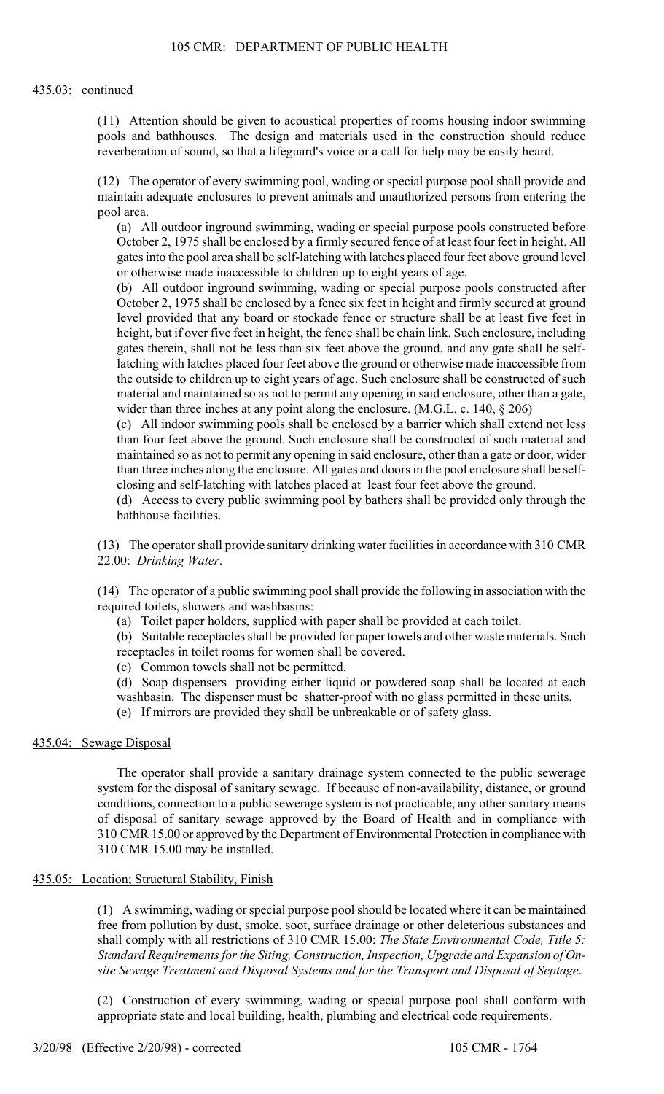(11) Attention should be given to acoustical properties of rooms housing indoor swimming pools and bathhouses. The design and materials used in the construction should reduce reverberation of sound, so that a lifeguard's voice or a call for help may be easily heard.

(12) The operator of every swimming pool, wading or special purpose pool shall provide and maintain adequate enclosures to prevent animals and unauthorized persons from entering the pool area.

(a) All outdoor inground swimming, wading or special purpose pools constructed before October 2, 1975 shall be enclosed by a firmly secured fence of at least four feet in height. All gates into the pool area shall be self-latching with latches placed four feet above ground level or otherwise made inaccessible to children up to eight years of age.

(b) All outdoor inground swimming, wading or special purpose pools constructed after October 2, 1975 shall be enclosed by a fence six feet in height and firmly secured at ground level provided that any board or stockade fence or structure shall be at least five feet in height, but if over five feet in height, the fence shall be chain link. Such enclosure, including gates therein, shall not be less than six feet above the ground, and any gate shall be selflatching with latches placed four feet above the ground or otherwise made inaccessible from the outside to children up to eight years of age. Such enclosure shall be constructed of such material and maintained so as not to permit any opening in said enclosure, other than a gate, wider than three inches at any point along the enclosure. (M.G.L. c. 140,  $\S$  206)

(c) All indoor swimming pools shall be enclosed by a barrier which shall extend not less than four feet above the ground. Such enclosure shall be constructed of such material and maintained so as not to permit any opening in said enclosure, other than a gate or door, wider than three inches along the enclosure. All gates and doors in the pool enclosure shall be selfclosing and self-latching with latches placed at least four feet above the ground.

(d) Access to every public swimming pool by bathers shall be provided only through the bathhouse facilities.

(13) The operator shall provide sanitary drinking water facilities in accordance with 310 CMR 22.00: *Drinking Water*.

(14) The operator of a public swimming pool shall provide the following in association with the required toilets, showers and washbasins:

(a) Toilet paper holders, supplied with paper shall be provided at each toilet.

(b) Suitable receptacles shall be provided for paper towels and other waste materials. Such receptacles in toilet rooms for women shall be covered.

(c) Common towels shall not be permitted.

(d) Soap dispensers providing either liquid or powdered soap shall be located at each washbasin. The dispenser must be shatter-proof with no glass permitted in these units.

(e) If mirrors are provided they shall be unbreakable or of safety glass.

#### 435.04: Sewage Disposal

The operator shall provide a sanitary drainage system connected to the public sewerage system for the disposal of sanitary sewage. If because of non-availability, distance, or ground conditions, connection to a public sewerage system is not practicable, any other sanitary means of disposal of sanitary sewage approved by the Board of Health and in compliance with 310 CMR 15.00 or approved by the Department of Environmental Protection in compliance with 310 CMR 15.00 may be installed.

#### 435.05: Location; Structural Stability, Finish

(1) A swimming, wading or special purpose pool should be located where it can be maintained free from pollution by dust, smoke, soot, surface drainage or other deleterious substances and shall comply with all restrictions of 310 CMR 15.00: *The State Environmental Code, Title 5: Standard Requirements for the Siting, Construction, Inspection, Upgrade and Expansion of Onsite Sewage Treatment and Disposal Systems and for the Transport and Disposal of Septage*.

(2) Construction of every swimming, wading or special purpose pool shall conform with appropriate state and local building, health, plumbing and electrical code requirements.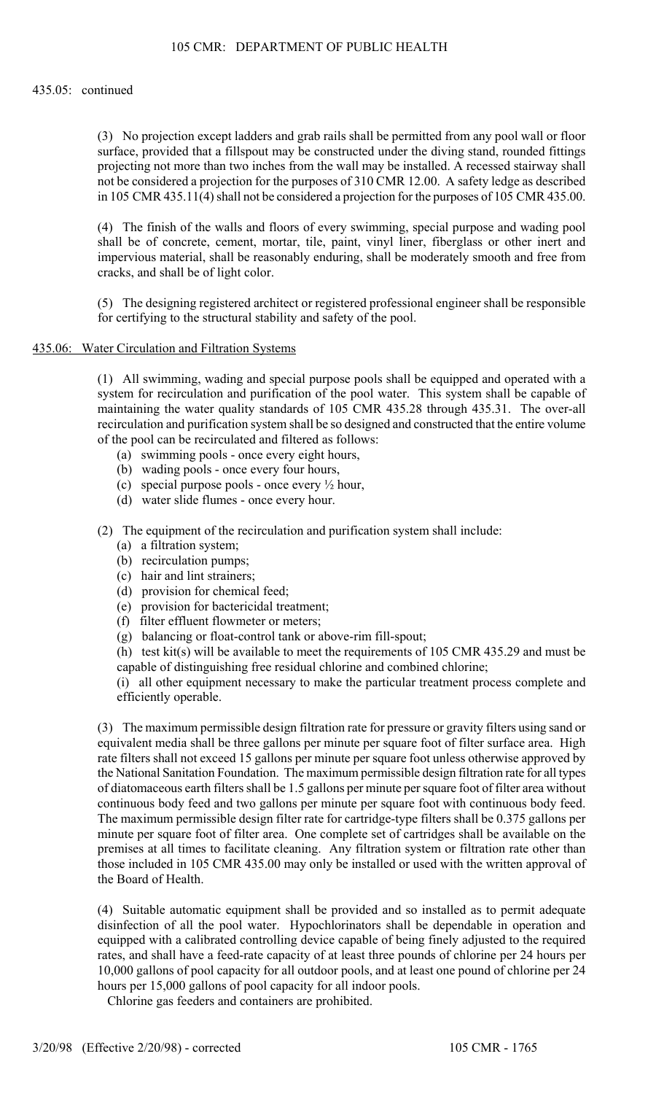#### 435.05: continued

(3) No projection except ladders and grab rails shall be permitted from any pool wall or floor surface, provided that a fillspout may be constructed under the diving stand, rounded fittings projecting not more than two inches from the wall may be installed. A recessed stairway shall not be considered a projection for the purposes of 310 CMR 12.00. A safety ledge as described in 105 CMR 435.11(4) shall not be considered a projection for the purposes of 105 CMR 435.00.

(4) The finish of the walls and floors of every swimming, special purpose and wading pool shall be of concrete, cement, mortar, tile, paint, vinyl liner, fiberglass or other inert and impervious material, shall be reasonably enduring, shall be moderately smooth and free from cracks, and shall be of light color.

(5) The designing registered architect or registered professional engineer shall be responsible for certifying to the structural stability and safety of the pool.

#### 435.06: Water Circulation and Filtration Systems

(1) All swimming, wading and special purpose pools shall be equipped and operated with a system for recirculation and purification of the pool water. This system shall be capable of maintaining the water quality standards of 105 CMR 435.28 through 435.31. The over-all recirculation and purification system shall be so designed and constructed that the entire volume of the pool can be recirculated and filtered as follows:

- (a) swimming pools once every eight hours,
- (b) wading pools once every four hours,
- (c) special purpose pools once every  $\frac{1}{2}$  hour,
- (d) water slide flumes once every hour.

(2) The equipment of the recirculation and purification system shall include:

- (a) a filtration system;
- (b) recirculation pumps;
- (c) hair and lint strainers;
- (d) provision for chemical feed;
- (e) provision for bactericidal treatment;
- (f) filter effluent flowmeter or meters;
- (g) balancing or float-control tank or above-rim fill-spout;

(h) test kit(s) will be available to meet the requirements of 105 CMR 435.29 and must be capable of distinguishing free residual chlorine and combined chlorine;

(i) all other equipment necessary to make the particular treatment process complete and efficiently operable.

(3) The maximum permissible design filtration rate for pressure or gravity filters using sand or equivalent media shall be three gallons per minute per square foot of filter surface area. High rate filters shall not exceed 15 gallons per minute per square foot unless otherwise approved by the National Sanitation Foundation. The maximum permissible design filtration rate for all types of diatomaceous earth filters shall be 1.5 gallons per minute per square foot of filter area without continuous body feed and two gallons per minute per square foot with continuous body feed. The maximum permissible design filter rate for cartridge-type filters shall be 0.375 gallons per minute per square foot of filter area. One complete set of cartridges shall be available on the premises at all times to facilitate cleaning. Any filtration system or filtration rate other than those included in 105 CMR 435.00 may only be installed or used with the written approval of the Board of Health.

(4) Suitable automatic equipment shall be provided and so installed as to permit adequate disinfection of all the pool water. Hypochlorinators shall be dependable in operation and equipped with a calibrated controlling device capable of being finely adjusted to the required rates, and shall have a feed-rate capacity of at least three pounds of chlorine per 24 hours per 10,000 gallons of pool capacity for all outdoor pools, and at least one pound of chlorine per 24 hours per 15,000 gallons of pool capacity for all indoor pools.

Chlorine gas feeders and containers are prohibited.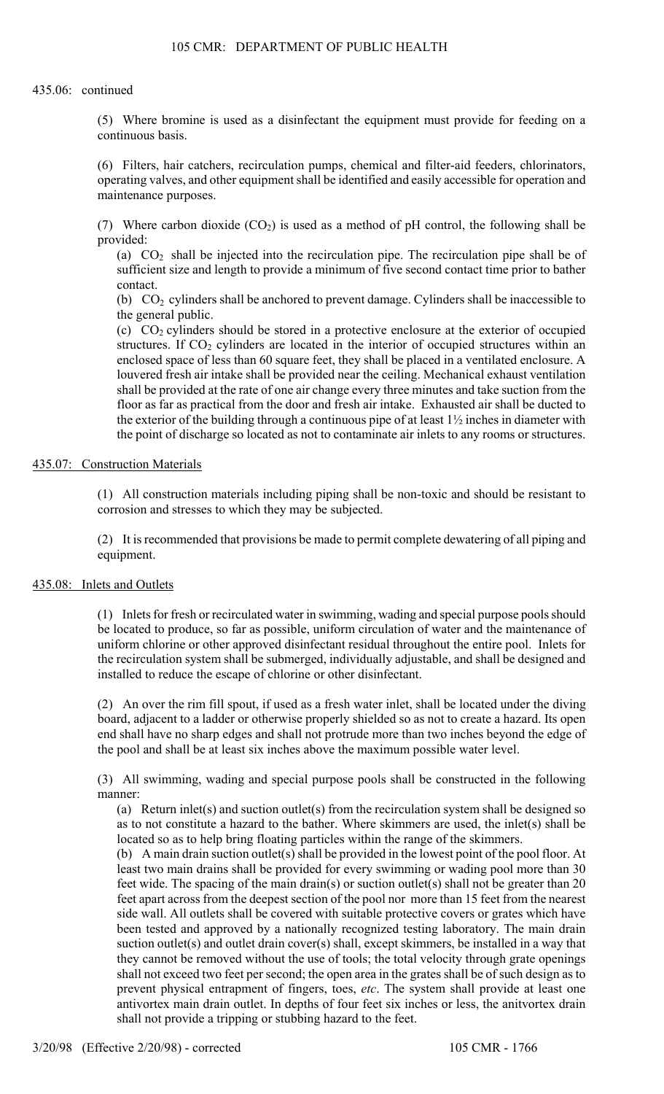#### 435.06: continued

(5) Where bromine is used as a disinfectant the equipment must provide for feeding on a continuous basis.

(6) Filters, hair catchers, recirculation pumps, chemical and filter-aid feeders, chlorinators, operating valves, and other equipment shall be identified and easily accessible for operation and maintenance purposes.

(7) Where carbon dioxide  $(CO_2)$  is used as a method of pH control, the following shall be provided:

(a)  $CO<sub>2</sub>$  shall be injected into the recirculation pipe. The recirculation pipe shall be of sufficient size and length to provide a minimum of five second contact time prior to bather contact.

(b)  $CO<sub>2</sub>$  cylinders shall be anchored to prevent damage. Cylinders shall be inaccessible to the general public.

(c)  $CO<sub>2</sub>$  cylinders should be stored in a protective enclosure at the exterior of occupied structures. If  $CO<sub>2</sub>$  cylinders are located in the interior of occupied structures within an enclosed space of less than 60 square feet, they shall be placed in a ventilated enclosure. A louvered fresh air intake shall be provided near the ceiling. Mechanical exhaust ventilation shall be provided at the rate of one air change every three minutes and take suction from the floor as far as practical from the door and fresh air intake. Exhausted air shall be ducted to the exterior of the building through a continuous pipe of at least 1½ inches in diameter with the point of discharge so located as not to contaminate air inlets to any rooms or structures.

## 435.07: Construction Materials

(1) All construction materials including piping shall be non-toxic and should be resistant to corrosion and stresses to which they may be subjected.

(2) It is recommended that provisions be made to permit complete dewatering of all piping and equipment.

## 435.08: Inlets and Outlets

(1) Inlets for fresh or recirculated water in swimming, wading and special purpose pools should be located to produce, so far as possible, uniform circulation of water and the maintenance of uniform chlorine or other approved disinfectant residual throughout the entire pool. Inlets for the recirculation system shall be submerged, individually adjustable, and shall be designed and installed to reduce the escape of chlorine or other disinfectant.

(2) An over the rim fill spout, if used as a fresh water inlet, shall be located under the diving board, adjacent to a ladder or otherwise properly shielded so as not to create a hazard. Its open end shall have no sharp edges and shall not protrude more than two inches beyond the edge of the pool and shall be at least six inches above the maximum possible water level.

(3) All swimming, wading and special purpose pools shall be constructed in the following manner:

(a) Return inlet(s) and suction outlet(s) from the recirculation system shall be designed so as to not constitute a hazard to the bather. Where skimmers are used, the inlet(s) shall be located so as to help bring floating particles within the range of the skimmers.

(b) A main drain suction outlet(s) shall be provided in the lowest point of the pool floor. At least two main drains shall be provided for every swimming or wading pool more than 30 feet wide. The spacing of the main drain(s) or suction outlet(s) shall not be greater than 20 feet apart across from the deepest section of the pool nor more than 15 feet from the nearest side wall. All outlets shall be covered with suitable protective covers or grates which have been tested and approved by a nationally recognized testing laboratory. The main drain suction outlet(s) and outlet drain cover(s) shall, except skimmers, be installed in a way that they cannot be removed without the use of tools; the total velocity through grate openings shall not exceed two feet per second; the open area in the grates shall be of such design as to prevent physical entrapment of fingers, toes, *etc*. The system shall provide at least one antivortex main drain outlet. In depths of four feet six inches or less, the anitvortex drain shall not provide a tripping or stubbing hazard to the feet.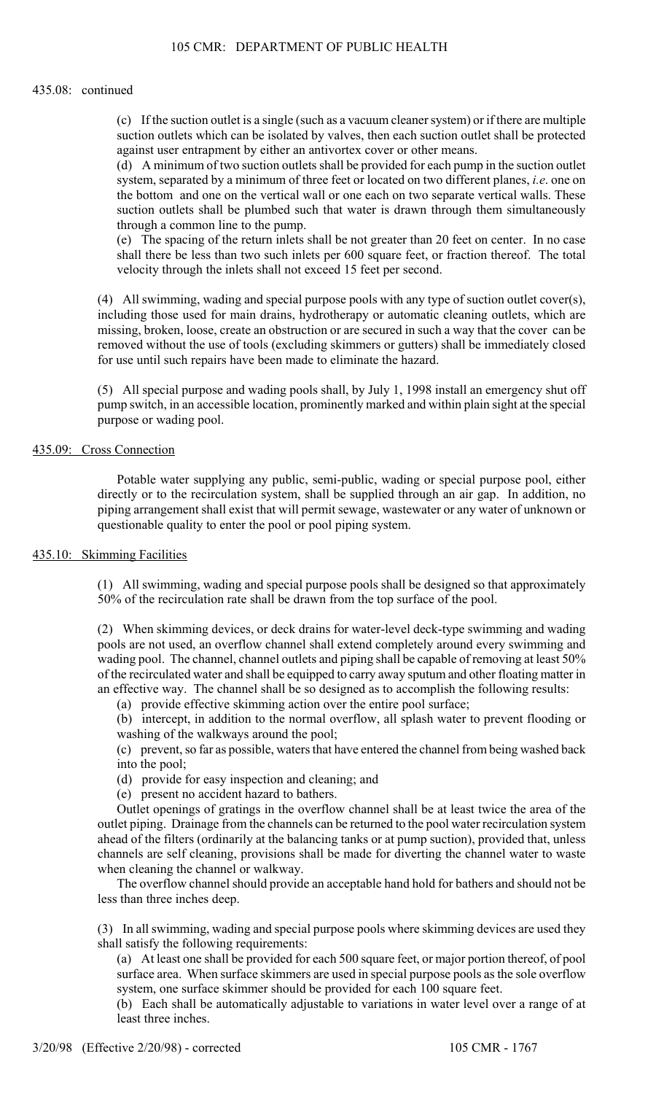#### 435.08: continued

(c) If the suction outlet is a single (such as a vacuum cleaner system) or if there are multiple suction outlets which can be isolated by valves, then each suction outlet shall be protected against user entrapment by either an antivortex cover or other means.

(d) A minimum of two suction outlets shall be provided for each pump in the suction outlet system, separated by a minimum of three feet or located on two different planes, *i.e*. one on the bottom and one on the vertical wall or one each on two separate vertical walls. These suction outlets shall be plumbed such that water is drawn through them simultaneously through a common line to the pump.

(e) The spacing of the return inlets shall be not greater than 20 feet on center. In no case shall there be less than two such inlets per 600 square feet, or fraction thereof. The total velocity through the inlets shall not exceed 15 feet per second.

(4) All swimming, wading and special purpose pools with any type of suction outlet cover(s), including those used for main drains, hydrotherapy or automatic cleaning outlets, which are missing, broken, loose, create an obstruction or are secured in such a way that the cover can be removed without the use of tools (excluding skimmers or gutters) shall be immediately closed for use until such repairs have been made to eliminate the hazard.

(5) All special purpose and wading pools shall, by July 1, 1998 install an emergency shut off pump switch, in an accessible location, prominently marked and within plain sight at the special purpose or wading pool.

## 435.09: Cross Connection

Potable water supplying any public, semi-public, wading or special purpose pool, either directly or to the recirculation system, shall be supplied through an air gap. In addition, no piping arrangement shall exist that will permit sewage, wastewater or any water of unknown or questionable quality to enter the pool or pool piping system.

#### 435.10: Skimming Facilities

(1) All swimming, wading and special purpose pools shall be designed so that approximately 50% of the recirculation rate shall be drawn from the top surface of the pool.

(2) When skimming devices, or deck drains for water-level deck-type swimming and wading pools are not used, an overflow channel shall extend completely around every swimming and wading pool. The channel, channel outlets and piping shall be capable of removing at least 50% of the recirculated water and shall be equipped to carry away sputum and other floating matter in an effective way. The channel shall be so designed as to accomplish the following results:

(a) provide effective skimming action over the entire pool surface;

(b) intercept, in addition to the normal overflow, all splash water to prevent flooding or washing of the walkways around the pool;

(c) prevent, so far as possible, waters that have entered the channel from being washed back into the pool;

- (d) provide for easy inspection and cleaning; and
- (e) present no accident hazard to bathers.

Outlet openings of gratings in the overflow channel shall be at least twice the area of the outlet piping. Drainage from the channels can be returned to the pool water recirculation system ahead of the filters (ordinarily at the balancing tanks or at pump suction), provided that, unless channels are self cleaning, provisions shall be made for diverting the channel water to waste when cleaning the channel or walkway.

The overflow channel should provide an acceptable hand hold for bathers and should not be less than three inches deep.

(3) In all swimming, wading and special purpose pools where skimming devices are used they shall satisfy the following requirements:

(a) At least one shall be provided for each 500 square feet, or major portion thereof, of pool surface area. When surface skimmers are used in special purpose pools as the sole overflow system, one surface skimmer should be provided for each 100 square feet.

(b) Each shall be automatically adjustable to variations in water level over a range of at least three inches.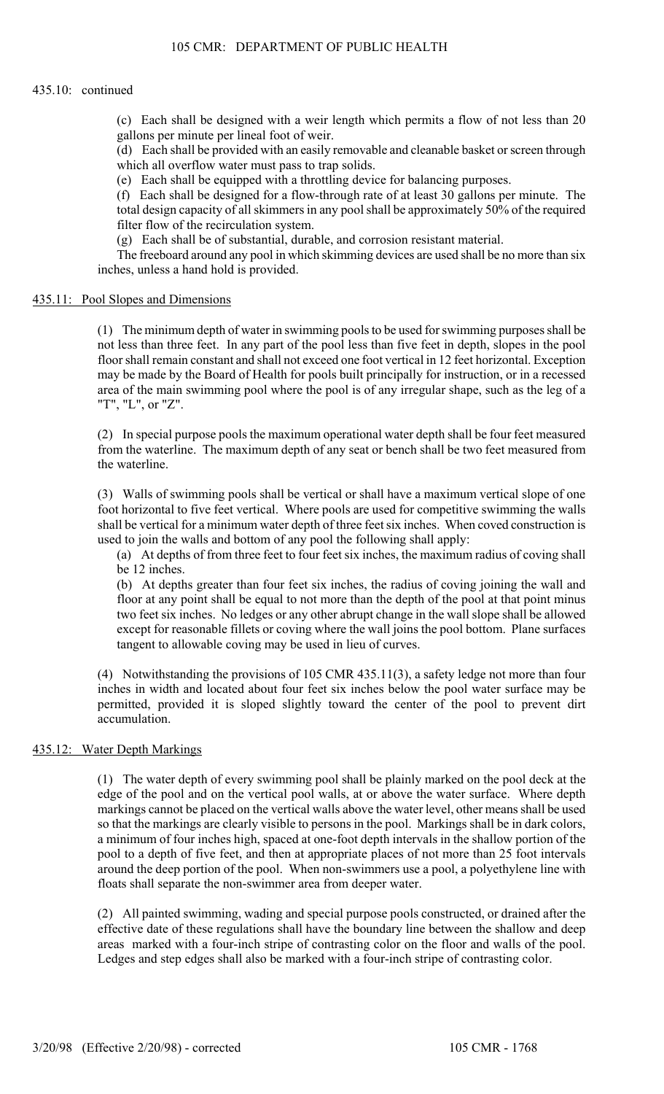#### 435.10: continued

(c) Each shall be designed with a weir length which permits a flow of not less than 20 gallons per minute per lineal foot of weir.

(d) Each shall be provided with an easily removable and cleanable basket or screen through which all overflow water must pass to trap solids.

(e) Each shall be equipped with a throttling device for balancing purposes.

(f) Each shall be designed for a flow-through rate of at least 30 gallons per minute. The total design capacity of all skimmers in any pool shall be approximately 50% of the required filter flow of the recirculation system.

(g) Each shall be of substantial, durable, and corrosion resistant material.

The freeboard around any pool in which skimming devices are used shall be no more than six inches, unless a hand hold is provided.

### 435.11: Pool Slopes and Dimensions

(1) The minimum depth of water in swimming pools to be used for swimming purposes shall be not less than three feet. In any part of the pool less than five feet in depth, slopes in the pool floor shall remain constant and shall not exceed one foot vertical in 12 feet horizontal. Exception may be made by the Board of Health for pools built principally for instruction, or in a recessed area of the main swimming pool where the pool is of any irregular shape, such as the leg of a "T", "L", or "Z".

(2) In special purpose pools the maximum operational water depth shall be four feet measured from the waterline. The maximum depth of any seat or bench shall be two feet measured from the waterline.

(3) Walls of swimming pools shall be vertical or shall have a maximum vertical slope of one foot horizontal to five feet vertical. Where pools are used for competitive swimming the walls shall be vertical for a minimum water depth of three feet six inches. When coved construction is used to join the walls and bottom of any pool the following shall apply:

(a) At depths of from three feet to four feet six inches, the maximum radius of coving shall be 12 inches.

(b) At depths greater than four feet six inches, the radius of coving joining the wall and floor at any point shall be equal to not more than the depth of the pool at that point minus two feet six inches. No ledges or any other abrupt change in the wall slope shall be allowed except for reasonable fillets or coving where the wall joins the pool bottom. Plane surfaces tangent to allowable coving may be used in lieu of curves.

(4) Notwithstanding the provisions of 105 CMR 435.11(3), a safety ledge not more than four inches in width and located about four feet six inches below the pool water surface may be permitted, provided it is sloped slightly toward the center of the pool to prevent dirt accumulation.

## 435.12: Water Depth Markings

(1) The water depth of every swimming pool shall be plainly marked on the pool deck at the edge of the pool and on the vertical pool walls, at or above the water surface. Where depth markings cannot be placed on the vertical walls above the water level, other means shall be used so that the markings are clearly visible to persons in the pool. Markings shall be in dark colors, a minimum of four inches high, spaced at one-foot depth intervals in the shallow portion of the pool to a depth of five feet, and then at appropriate places of not more than 25 foot intervals around the deep portion of the pool. When non-swimmers use a pool, a polyethylene line with floats shall separate the non-swimmer area from deeper water.

(2) All painted swimming, wading and special purpose pools constructed, or drained after the effective date of these regulations shall have the boundary line between the shallow and deep areas marked with a four-inch stripe of contrasting color on the floor and walls of the pool. Ledges and step edges shall also be marked with a four-inch stripe of contrasting color.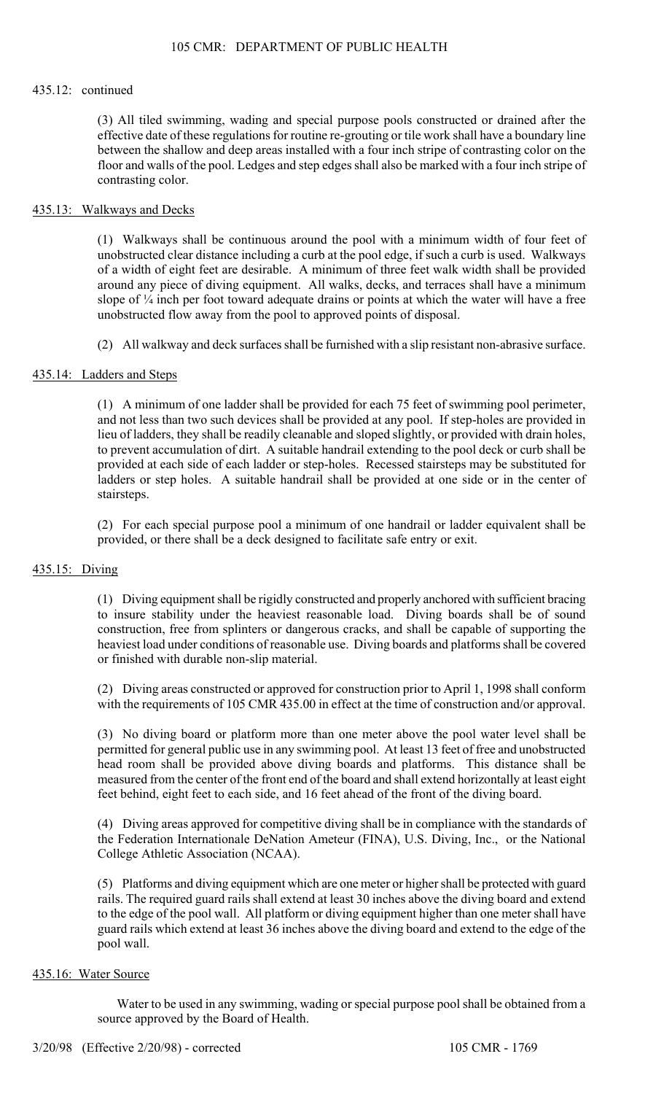### 435.12: continued

(3) All tiled swimming, wading and special purpose pools constructed or drained after the effective date of these regulations for routine re-grouting or tile work shall have a boundary line between the shallow and deep areas installed with a four inch stripe of contrasting color on the floor and walls of the pool. Ledges and step edges shall also be marked with a four inch stripe of contrasting color.

## 435.13: Walkways and Decks

(1) Walkways shall be continuous around the pool with a minimum width of four feet of unobstructed clear distance including a curb at the pool edge, if such a curb is used. Walkways of a width of eight feet are desirable. A minimum of three feet walk width shall be provided around any piece of diving equipment. All walks, decks, and terraces shall have a minimum slope of  $\frac{1}{4}$  inch per foot toward adequate drains or points at which the water will have a free unobstructed flow away from the pool to approved points of disposal.

(2) All walkway and deck surfaces shall be furnished with a slip resistant non-abrasive surface.

## 435.14: Ladders and Steps

(1) A minimum of one ladder shall be provided for each 75 feet of swimming pool perimeter, and not less than two such devices shall be provided at any pool. If step-holes are provided in lieu of ladders, they shall be readily cleanable and sloped slightly, or provided with drain holes, to prevent accumulation of dirt. A suitable handrail extending to the pool deck or curb shall be provided at each side of each ladder or step-holes. Recessed stairsteps may be substituted for ladders or step holes. A suitable handrail shall be provided at one side or in the center of stairsteps.

(2) For each special purpose pool a minimum of one handrail or ladder equivalent shall be provided, or there shall be a deck designed to facilitate safe entry or exit.

#### 435.15: Diving

(1) Diving equipment shall be rigidly constructed and properly anchored with sufficient bracing to insure stability under the heaviest reasonable load. Diving boards shall be of sound construction, free from splinters or dangerous cracks, and shall be capable of supporting the heaviest load under conditions of reasonable use. Diving boards and platforms shall be covered or finished with durable non-slip material.

(2) Diving areas constructed or approved for construction prior to April 1, 1998 shall conform with the requirements of 105 CMR 435.00 in effect at the time of construction and/or approval.

(3) No diving board or platform more than one meter above the pool water level shall be permitted for general public use in any swimming pool. At least 13 feet of free and unobstructed head room shall be provided above diving boards and platforms. This distance shall be measured from the center of the front end of the board and shall extend horizontally at least eight feet behind, eight feet to each side, and 16 feet ahead of the front of the diving board.

(4) Diving areas approved for competitive diving shall be in compliance with the standards of the Federation Internationale DeNation Ameteur (FINA), U.S. Diving, Inc., or the National College Athletic Association (NCAA).

(5) Platforms and diving equipment which are one meter or higher shall be protected with guard rails. The required guard rails shall extend at least 30 inches above the diving board and extend to the edge of the pool wall. All platform or diving equipment higher than one meter shall have guard rails which extend at least 36 inches above the diving board and extend to the edge of the pool wall.

#### 435.16: Water Source

Water to be used in any swimming, wading or special purpose pool shall be obtained from a source approved by the Board of Health.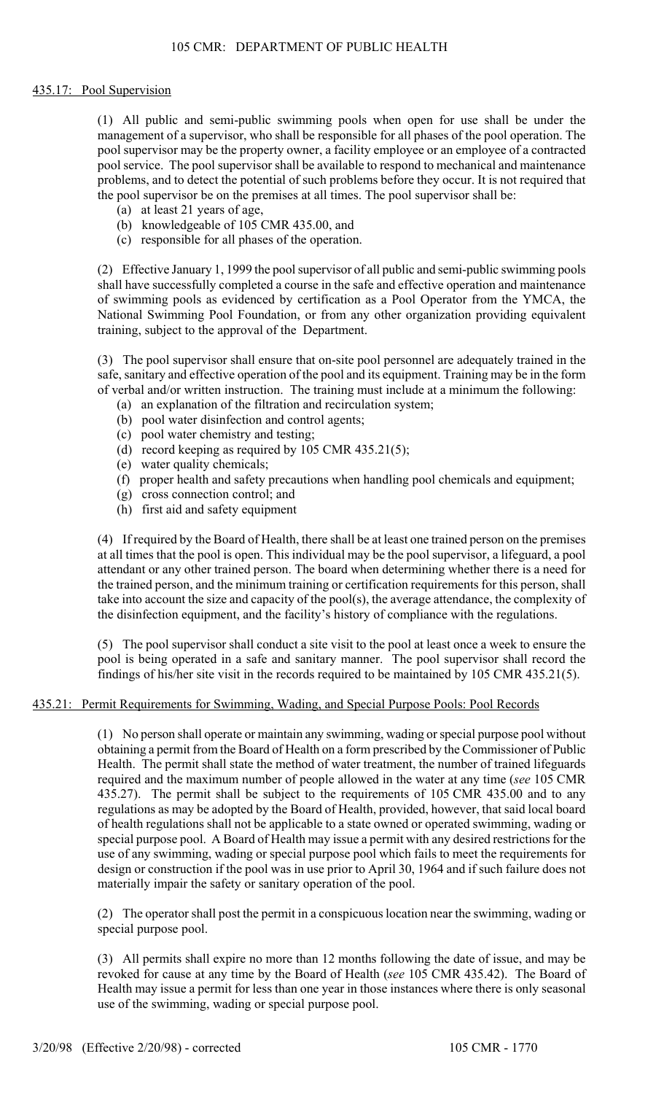#### 435.17: Pool Supervision

(1) All public and semi-public swimming pools when open for use shall be under the management of a supervisor, who shall be responsible for all phases of the pool operation. The pool supervisor may be the property owner, a facility employee or an employee of a contracted pool service. The pool supervisor shall be available to respond to mechanical and maintenance problems, and to detect the potential of such problems before they occur. It is not required that the pool supervisor be on the premises at all times. The pool supervisor shall be:

- (a) at least 21 years of age,
- (b) knowledgeable of 105 CMR 435.00, and
- (c) responsible for all phases of the operation.

(2) Effective January 1, 1999 the pool supervisor of all public and semi-public swimming pools shall have successfully completed a course in the safe and effective operation and maintenance of swimming pools as evidenced by certification as a Pool Operator from the YMCA, the National Swimming Pool Foundation, or from any other organization providing equivalent training, subject to the approval of the Department.

(3) The pool supervisor shall ensure that on-site pool personnel are adequately trained in the safe, sanitary and effective operation of the pool and its equipment. Training may be in the form of verbal and/or written instruction. The training must include at a minimum the following:

- (a) an explanation of the filtration and recirculation system;
- (b) pool water disinfection and control agents;
- (c) pool water chemistry and testing;
- (d) record keeping as required by 105 CMR 435.21(5);
- (e) water quality chemicals;
- (f) proper health and safety precautions when handling pool chemicals and equipment;
- (g) cross connection control; and
- (h) first aid and safety equipment

(4) If required by the Board of Health, there shall be at least one trained person on the premises at all times that the pool is open. This individual may be the pool supervisor, a lifeguard, a pool attendant or any other trained person. The board when determining whether there is a need for the trained person, and the minimum training or certification requirements for this person, shall take into account the size and capacity of the pool(s), the average attendance, the complexity of the disinfection equipment, and the facility's history of compliance with the regulations.

(5) The pool supervisor shall conduct a site visit to the pool at least once a week to ensure the pool is being operated in a safe and sanitary manner. The pool supervisor shall record the findings of his/her site visit in the records required to be maintained by 105 CMR 435.21(5).

#### 435.21: Permit Requirements for Swimming, Wading, and Special Purpose Pools: Pool Records

(1) No person shall operate or maintain any swimming, wading or special purpose pool without obtaining a permit from the Board of Health on a form prescribed by the Commissioner of Public Health. The permit shall state the method of water treatment, the number of trained lifeguards required and the maximum number of people allowed in the water at any time (*see* 105 CMR 435.27). The permit shall be subject to the requirements of 105 CMR 435.00 and to any regulations as may be adopted by the Board of Health, provided, however, that said local board of health regulations shall not be applicable to a state owned or operated swimming, wading or special purpose pool. A Board of Health may issue a permit with any desired restrictions for the use of any swimming, wading or special purpose pool which fails to meet the requirements for design or construction if the pool was in use prior to April 30, 1964 and if such failure does not materially impair the safety or sanitary operation of the pool.

(2) The operator shall post the permit in a conspicuous location near the swimming, wading or special purpose pool.

(3) All permits shall expire no more than 12 months following the date of issue, and may be revoked for cause at any time by the Board of Health (*see* 105 CMR 435.42). The Board of Health may issue a permit for less than one year in those instances where there is only seasonal use of the swimming, wading or special purpose pool.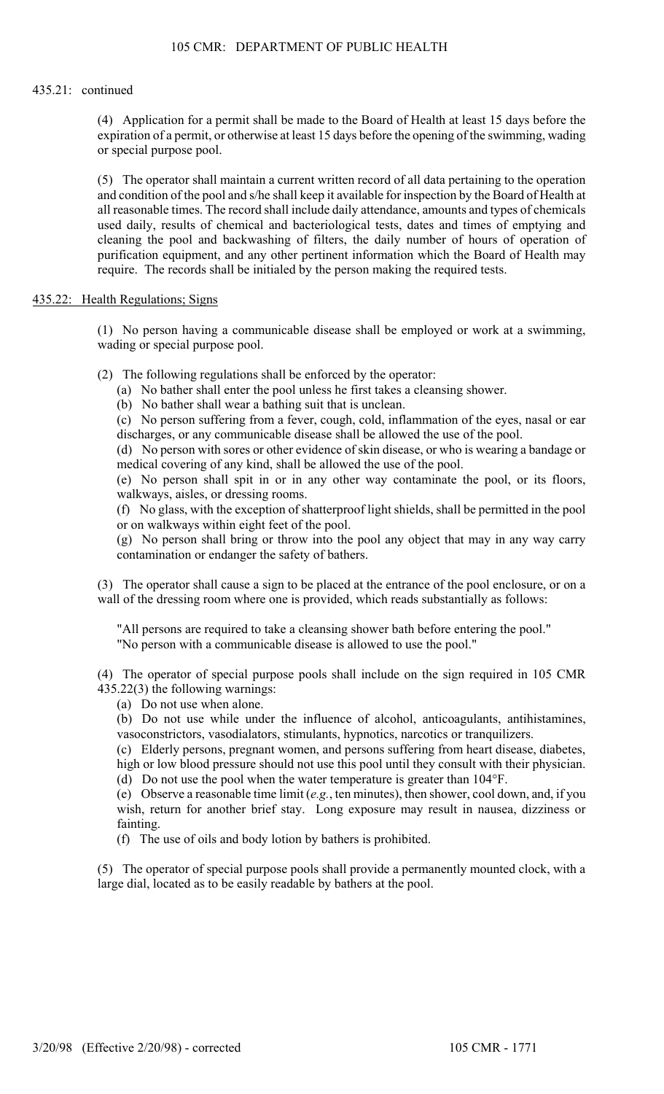#### 435.21: continued

(4) Application for a permit shall be made to the Board of Health at least 15 days before the expiration of a permit, or otherwise at least 15 days before the opening of the swimming, wading or special purpose pool.

(5) The operator shall maintain a current written record of all data pertaining to the operation and condition of the pool and s/he shall keep it available for inspection by the Board of Health at all reasonable times. The record shall include daily attendance, amounts and types of chemicals used daily, results of chemical and bacteriological tests, dates and times of emptying and cleaning the pool and backwashing of filters, the daily number of hours of operation of purification equipment, and any other pertinent information which the Board of Health may require. The records shall be initialed by the person making the required tests.

## 435.22: Health Regulations; Signs

(1) No person having a communicable disease shall be employed or work at a swimming, wading or special purpose pool.

(2) The following regulations shall be enforced by the operator:

- (a) No bather shall enter the pool unless he first takes a cleansing shower.
- (b) No bather shall wear a bathing suit that is unclean.

(c) No person suffering from a fever, cough, cold, inflammation of the eyes, nasal or ear discharges, or any communicable disease shall be allowed the use of the pool.

(d) No person with sores or other evidence of skin disease, or who is wearing a bandage or medical covering of any kind, shall be allowed the use of the pool.

(e) No person shall spit in or in any other way contaminate the pool, or its floors, walkways, aisles, or dressing rooms.

(f) No glass, with the exception of shatterproof light shields, shall be permitted in the pool or on walkways within eight feet of the pool.

(g) No person shall bring or throw into the pool any object that may in any way carry contamination or endanger the safety of bathers.

(3) The operator shall cause a sign to be placed at the entrance of the pool enclosure, or on a wall of the dressing room where one is provided, which reads substantially as follows:

"All persons are required to take a cleansing shower bath before entering the pool." "No person with a communicable disease is allowed to use the pool."

(4) The operator of special purpose pools shall include on the sign required in 105 CMR 435.22(3) the following warnings:

(a) Do not use when alone.

(b) Do not use while under the influence of alcohol, anticoagulants, antihistamines, vasoconstrictors, vasodialators, stimulants, hypnotics, narcotics or tranquilizers.

(c) Elderly persons, pregnant women, and persons suffering from heart disease, diabetes, high or low blood pressure should not use this pool until they consult with their physician.

(d) Do not use the pool when the water temperature is greater than 104°F.

(e) Observe a reasonable time limit (*e.g.*, ten minutes), then shower, cool down, and, if you wish, return for another brief stay. Long exposure may result in nausea, dizziness or fainting.

(f) The use of oils and body lotion by bathers is prohibited.

(5) The operator of special purpose pools shall provide a permanently mounted clock, with a large dial, located as to be easily readable by bathers at the pool.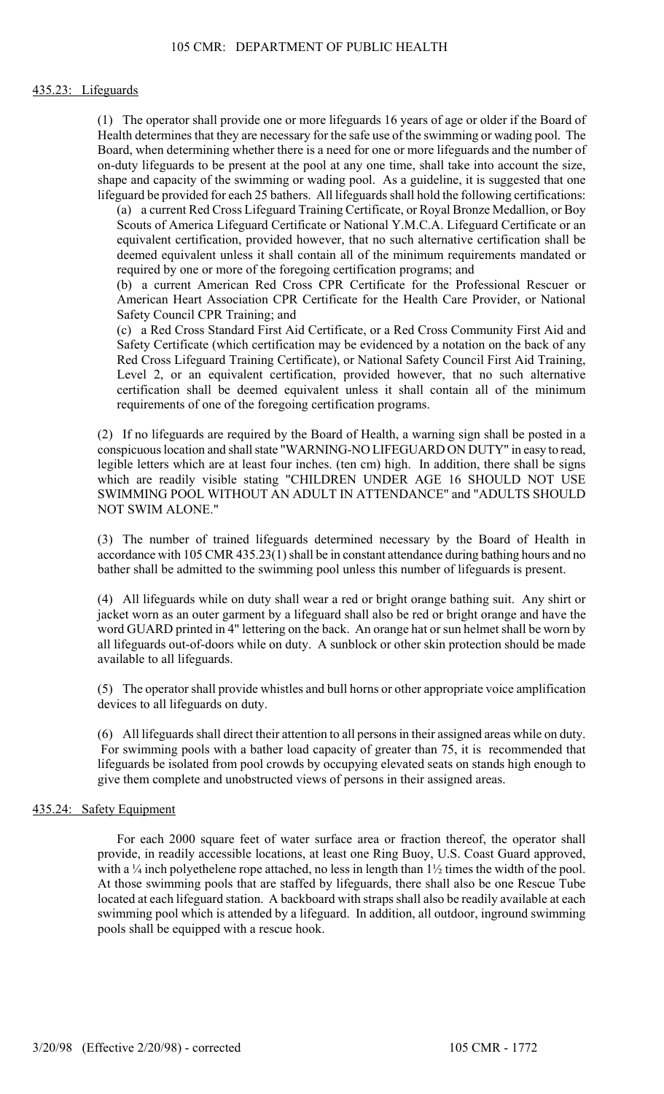#### 435.23: Lifeguards

(1) The operator shall provide one or more lifeguards 16 years of age or older if the Board of Health determines that they are necessary for the safe use of the swimming or wading pool. The Board, when determining whether there is a need for one or more lifeguards and the number of on-duty lifeguards to be present at the pool at any one time, shall take into account the size, shape and capacity of the swimming or wading pool. As a guideline, it is suggested that one lifeguard be provided for each 25 bathers. All lifeguards shall hold the following certifications:

(a) a current Red Cross Lifeguard Training Certificate, or Royal Bronze Medallion, or Boy Scouts of America Lifeguard Certificate or National Y.M.C.A. Lifeguard Certificate or an equivalent certification, provided however, that no such alternative certification shall be deemed equivalent unless it shall contain all of the minimum requirements mandated or required by one or more of the foregoing certification programs; and

(b) a current American Red Cross CPR Certificate for the Professional Rescuer or American Heart Association CPR Certificate for the Health Care Provider, or National Safety Council CPR Training; and

(c) a Red Cross Standard First Aid Certificate, or a Red Cross Community First Aid and Safety Certificate (which certification may be evidenced by a notation on the back of any Red Cross Lifeguard Training Certificate), or National Safety Council First Aid Training, Level 2, or an equivalent certification, provided however, that no such alternative certification shall be deemed equivalent unless it shall contain all of the minimum requirements of one of the foregoing certification programs.

(2) If no lifeguards are required by the Board of Health, a warning sign shall be posted in a conspicuous location and shall state "WARNING-NO LIFEGUARD ON DUTY" in easy to read, legible letters which are at least four inches. (ten cm) high. In addition, there shall be signs which are readily visible stating "CHILDREN UNDER AGE 16 SHOULD NOT USE SWIMMING POOL WITHOUT AN ADULT IN ATTENDANCE" and "ADULTS SHOULD NOT SWIM ALONE."

(3) The number of trained lifeguards determined necessary by the Board of Health in accordance with 105 CMR 435.23(1) shall be in constant attendance during bathing hours and no bather shall be admitted to the swimming pool unless this number of lifeguards is present.

(4) All lifeguards while on duty shall wear a red or bright orange bathing suit. Any shirt or jacket worn as an outer garment by a lifeguard shall also be red or bright orange and have the word GUARD printed in 4" lettering on the back. An orange hat or sun helmet shall be worn by all lifeguards out-of-doors while on duty. A sunblock or other skin protection should be made available to all lifeguards.

(5) The operator shall provide whistles and bull horns or other appropriate voice amplification devices to all lifeguards on duty.

(6) All lifeguards shall direct their attention to all persons in their assigned areas while on duty. For swimming pools with a bather load capacity of greater than 75, it is recommended that lifeguards be isolated from pool crowds by occupying elevated seats on stands high enough to give them complete and unobstructed views of persons in their assigned areas.

#### 435.24: Safety Equipment

For each 2000 square feet of water surface area or fraction thereof, the operator shall provide, in readily accessible locations, at least one Ring Buoy, U.S. Coast Guard approved, with a  $\frac{1}{4}$  inch polyethelene rope attached, no less in length than  $1\frac{1}{2}$  times the width of the pool. At those swimming pools that are staffed by lifeguards, there shall also be one Rescue Tube located at each lifeguard station. A backboard with straps shall also be readily available at each swimming pool which is attended by a lifeguard. In addition, all outdoor, inground swimming pools shall be equipped with a rescue hook.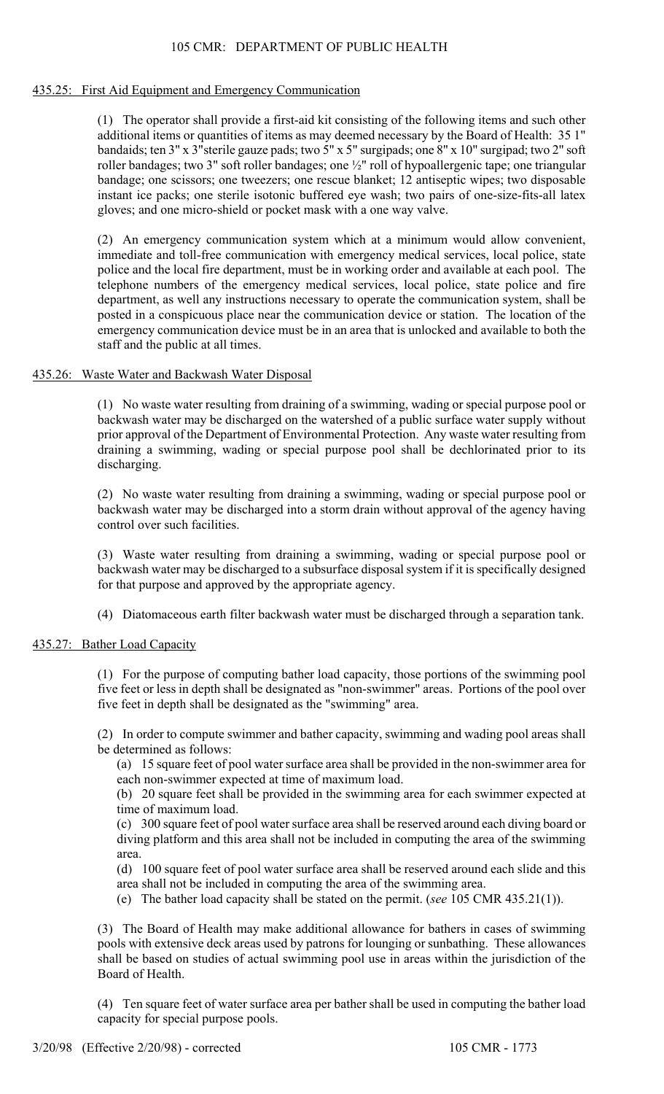## 105 CMR: DEPARTMENT OF PUBLIC HEALTH

### 435.25: First Aid Equipment and Emergency Communication

(1) The operator shall provide a first-aid kit consisting of the following items and such other additional items or quantities of items as may deemed necessary by the Board of Health: 35 1" bandaids; ten 3" x 3"sterile gauze pads; two 5" x 5" surgipads; one 8" x 10" surgipad; two 2" soft roller bandages; two 3" soft roller bandages; one ½" roll of hypoallergenic tape; one triangular bandage; one scissors; one tweezers; one rescue blanket; 12 antiseptic wipes; two disposable instant ice packs; one sterile isotonic buffered eye wash; two pairs of one-size-fits-all latex gloves; and one micro-shield or pocket mask with a one way valve.

(2) An emergency communication system which at a minimum would allow convenient, immediate and toll-free communication with emergency medical services, local police, state police and the local fire department, must be in working order and available at each pool. The telephone numbers of the emergency medical services, local police, state police and fire department, as well any instructions necessary to operate the communication system, shall be posted in a conspicuous place near the communication device or station. The location of the emergency communication device must be in an area that is unlocked and available to both the staff and the public at all times.

## 435.26: Waste Water and Backwash Water Disposal

(1) No waste water resulting from draining of a swimming, wading or special purpose pool or backwash water may be discharged on the watershed of a public surface water supply without prior approval of the Department of Environmental Protection. Any waste water resulting from draining a swimming, wading or special purpose pool shall be dechlorinated prior to its discharging.

(2) No waste water resulting from draining a swimming, wading or special purpose pool or backwash water may be discharged into a storm drain without approval of the agency having control over such facilities.

(3) Waste water resulting from draining a swimming, wading or special purpose pool or backwash water may be discharged to a subsurface disposal system if it is specifically designed for that purpose and approved by the appropriate agency.

(4) Diatomaceous earth filter backwash water must be discharged through a separation tank.

## 435.27: Bather Load Capacity

(1) For the purpose of computing bather load capacity, those portions of the swimming pool five feet or less in depth shall be designated as "non-swimmer" areas. Portions of the pool over five feet in depth shall be designated as the "swimming" area.

(2) In order to compute swimmer and bather capacity, swimming and wading pool areas shall be determined as follows:

(a) 15 square feet of pool water surface area shall be provided in the non-swimmer area for each non-swimmer expected at time of maximum load.

(b) 20 square feet shall be provided in the swimming area for each swimmer expected at time of maximum load.

(c) 300 square feet of pool water surface area shall be reserved around each diving board or diving platform and this area shall not be included in computing the area of the swimming area.

(d) 100 square feet of pool water surface area shall be reserved around each slide and this area shall not be included in computing the area of the swimming area.

(e) The bather load capacity shall be stated on the permit. (*see* 105 CMR 435.21(1)).

(3) The Board of Health may make additional allowance for bathers in cases of swimming pools with extensive deck areas used by patrons for lounging or sunbathing. These allowances shall be based on studies of actual swimming pool use in areas within the jurisdiction of the Board of Health.

(4) Ten square feet of water surface area per bather shall be used in computing the bather load capacity for special purpose pools.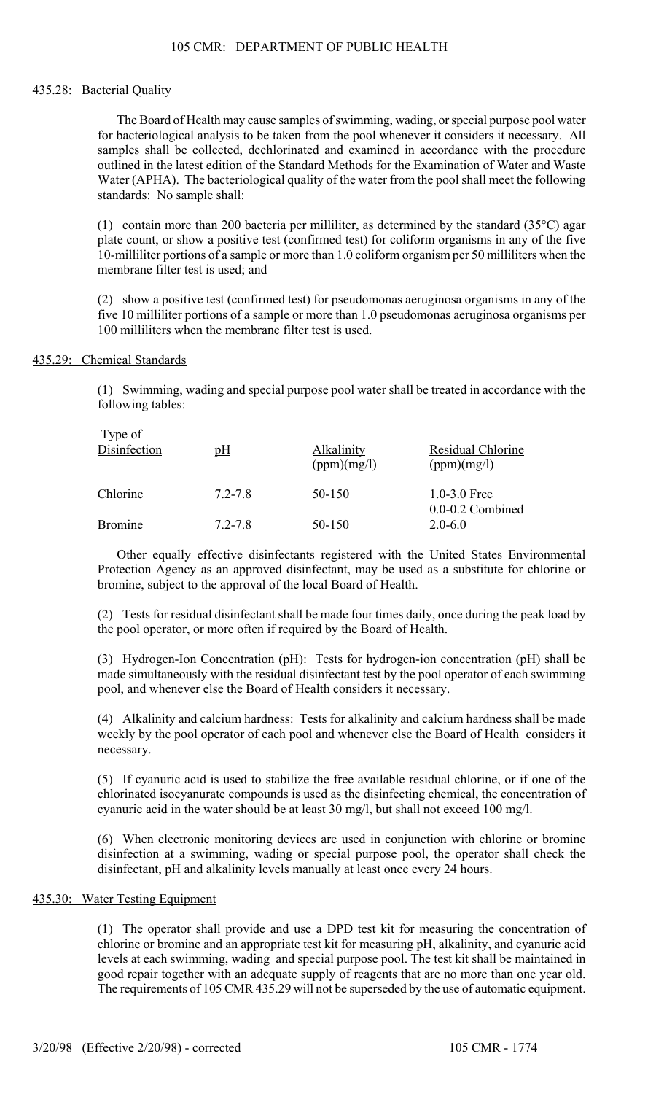## 105 CMR: DEPARTMENT OF PUBLIC HEALTH

#### 435.28: Bacterial Quality

The Board of Health may cause samples of swimming, wading, or special purpose pool water for bacteriological analysis to be taken from the pool whenever it considers it necessary. All samples shall be collected, dechlorinated and examined in accordance with the procedure outlined in the latest edition of the Standard Methods for the Examination of Water and Waste Water (APHA). The bacteriological quality of the water from the pool shall meet the following standards: No sample shall:

(1) contain more than 200 bacteria per milliliter, as determined by the standard  $(35^{\circ}C)$  agar plate count, or show a positive test (confirmed test) for coliform organisms in any of the five 10-milliliter portions of a sample or more than 1.0 coliform organism per 50 milliliters when the membrane filter test is used; and

(2) show a positive test (confirmed test) for pseudomonas aeruginosa organisms in any of the five 10 milliliter portions of a sample or more than 1.0 pseudomonas aeruginosa organisms per 100 milliliters when the membrane filter test is used.

## 435.29: Chemical Standards

Type of

(1) Swimming, wading and special purpose pool water shall be treated in accordance with the following tables:

| $1$ y p $U1$<br>Disinfection | pH          | Alkalinity<br>(ppm)(mg/l) | Residual Chlorine<br>(ppm)(mg/l)         |  |  |  |  |
|------------------------------|-------------|---------------------------|------------------------------------------|--|--|--|--|
| Chlorine                     | $7.2 - 7.8$ | 50-150                    | $1.0 - 3.0$ Free<br>$0.0 - 0.2$ Combined |  |  |  |  |
| <b>Bromine</b>               | $7.2 - 7.8$ | 50-150                    | $2.0 - 6.0$                              |  |  |  |  |

Other equally effective disinfectants registered with the United States Environmental Protection Agency as an approved disinfectant, may be used as a substitute for chlorine or bromine, subject to the approval of the local Board of Health.

(2) Tests for residual disinfectant shall be made four times daily, once during the peak load by the pool operator, or more often if required by the Board of Health.

(3) Hydrogen-Ion Concentration (pH): Tests for hydrogen-ion concentration (pH) shall be made simultaneously with the residual disinfectant test by the pool operator of each swimming pool, and whenever else the Board of Health considers it necessary.

(4) Alkalinity and calcium hardness: Tests for alkalinity and calcium hardness shall be made weekly by the pool operator of each pool and whenever else the Board of Health considers it necessary.

(5) If cyanuric acid is used to stabilize the free available residual chlorine, or if one of the chlorinated isocyanurate compounds is used as the disinfecting chemical, the concentration of cyanuric acid in the water should be at least 30 mg/l, but shall not exceed 100 mg/l.

(6) When electronic monitoring devices are used in conjunction with chlorine or bromine disinfection at a swimming, wading or special purpose pool, the operator shall check the disinfectant, pH and alkalinity levels manually at least once every 24 hours.

#### 435.30: Water Testing Equipment

(1) The operator shall provide and use a DPD test kit for measuring the concentration of chlorine or bromine and an appropriate test kit for measuring pH, alkalinity, and cyanuric acid levels at each swimming, wading and special purpose pool. The test kit shall be maintained in good repair together with an adequate supply of reagents that are no more than one year old. The requirements of 105 CMR 435.29 will not be superseded by the use of automatic equipment.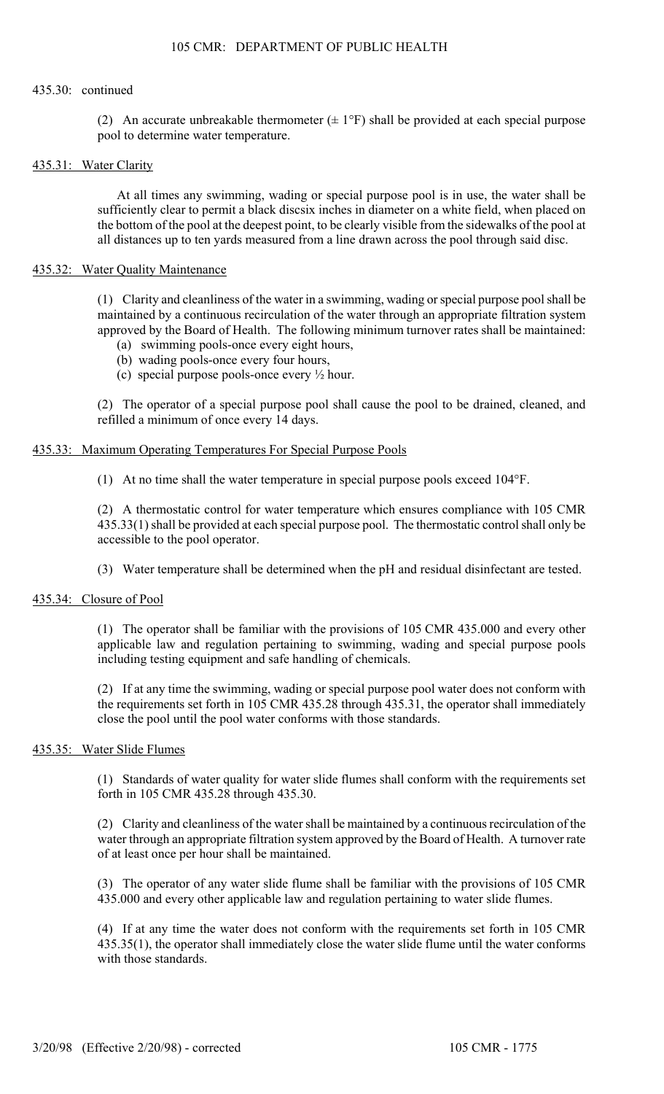#### 435.30: continued

(2) An accurate unbreakable thermometer  $(\pm 1^{\circ}F)$  shall be provided at each special purpose pool to determine water temperature.

## 435.31: Water Clarity

At all times any swimming, wading or special purpose pool is in use, the water shall be sufficiently clear to permit a black discsix inches in diameter on a white field, when placed on the bottom of the pool at the deepest point, to be clearly visible from the sidewalks of the pool at all distances up to ten yards measured from a line drawn across the pool through said disc.

#### 435.32: Water Quality Maintenance

(1) Clarity and cleanliness of the water in a swimming, wading or special purpose pool shall be maintained by a continuous recirculation of the water through an appropriate filtration system approved by the Board of Health. The following minimum turnover rates shall be maintained:

- (a) swimming pools-once every eight hours,
- (b) wading pools-once every four hours,
- (c) special purpose pools-once every ½ hour.

(2) The operator of a special purpose pool shall cause the pool to be drained, cleaned, and refilled a minimum of once every 14 days.

## 435.33: Maximum Operating Temperatures For Special Purpose Pools

(1) At no time shall the water temperature in special purpose pools exceed 104°F.

(2) A thermostatic control for water temperature which ensures compliance with 105 CMR 435.33(1) shall be provided at each special purpose pool. The thermostatic control shall only be accessible to the pool operator.

(3) Water temperature shall be determined when the pH and residual disinfectant are tested.

## 435.34: Closure of Pool

(1) The operator shall be familiar with the provisions of 105 CMR 435.000 and every other applicable law and regulation pertaining to swimming, wading and special purpose pools including testing equipment and safe handling of chemicals.

(2) If at any time the swimming, wading or special purpose pool water does not conform with the requirements set forth in 105 CMR 435.28 through 435.31, the operator shall immediately close the pool until the pool water conforms with those standards.

## 435.35: Water Slide Flumes

(1) Standards of water quality for water slide flumes shall conform with the requirements set forth in 105 CMR 435.28 through 435.30.

(2) Clarity and cleanliness of the water shall be maintained by a continuous recirculation of the water through an appropriate filtration system approved by the Board of Health. A turnover rate of at least once per hour shall be maintained.

(3) The operator of any water slide flume shall be familiar with the provisions of 105 CMR 435.000 and every other applicable law and regulation pertaining to water slide flumes.

(4) If at any time the water does not conform with the requirements set forth in 105 CMR 435.35(1), the operator shall immediately close the water slide flume until the water conforms with those standards.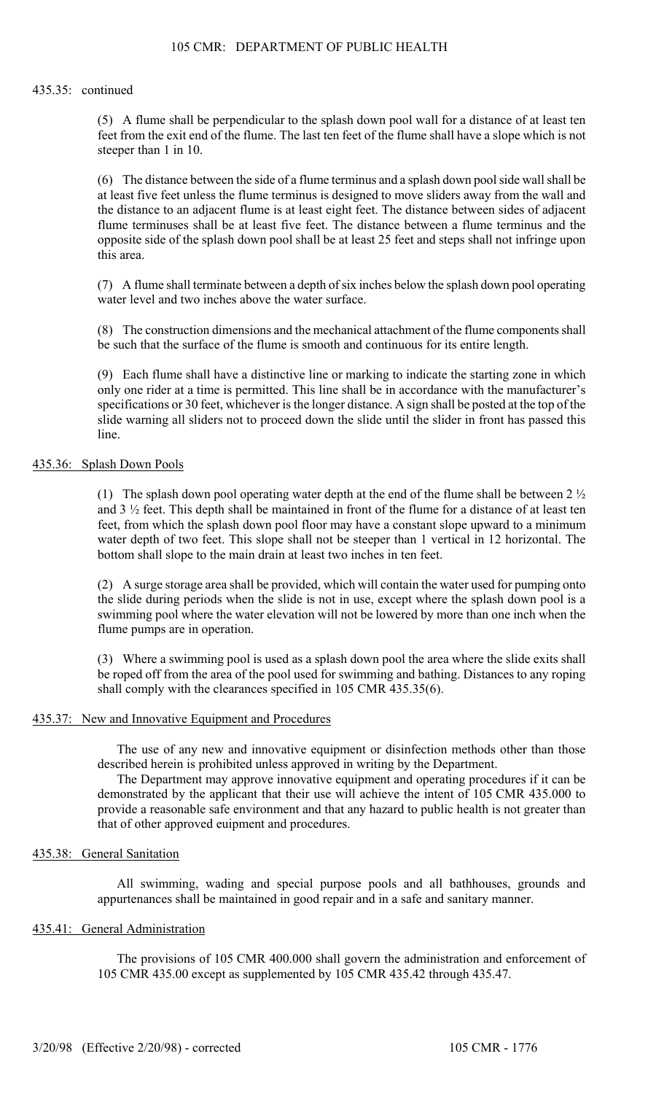#### 435.35: continued

(5) A flume shall be perpendicular to the splash down pool wall for a distance of at least ten feet from the exit end of the flume. The last ten feet of the flume shall have a slope which is not steeper than 1 in 10.

(6) The distance between the side of a flume terminus and a splash down pool side wall shall be at least five feet unless the flume terminus is designed to move sliders away from the wall and the distance to an adjacent flume is at least eight feet. The distance between sides of adjacent flume terminuses shall be at least five feet. The distance between a flume terminus and the opposite side of the splash down pool shall be at least 25 feet and steps shall not infringe upon this area.

(7) A flume shall terminate between a depth of six inches below the splash down pool operating water level and two inches above the water surface.

(8) The construction dimensions and the mechanical attachment of the flume components shall be such that the surface of the flume is smooth and continuous for its entire length.

(9) Each flume shall have a distinctive line or marking to indicate the starting zone in which only one rider at a time is permitted. This line shall be in accordance with the manufacturer's specifications or 30 feet, whichever is the longer distance. A sign shall be posted at the top of the slide warning all sliders not to proceed down the slide until the slider in front has passed this line.

#### 435.36: Splash Down Pools

(1) The splash down pool operating water depth at the end of the flume shall be between  $2\frac{1}{2}$ and 3 ½ feet. This depth shall be maintained in front of the flume for a distance of at least ten feet, from which the splash down pool floor may have a constant slope upward to a minimum water depth of two feet. This slope shall not be steeper than 1 vertical in 12 horizontal. The bottom shall slope to the main drain at least two inches in ten feet.

(2) A surge storage area shall be provided, which will contain the water used for pumping onto the slide during periods when the slide is not in use, except where the splash down pool is a swimming pool where the water elevation will not be lowered by more than one inch when the flume pumps are in operation.

(3) Where a swimming pool is used as a splash down pool the area where the slide exits shall be roped off from the area of the pool used for swimming and bathing. Distances to any roping shall comply with the clearances specified in 105 CMR 435.35(6).

#### 435.37: New and Innovative Equipment and Procedures

The use of any new and innovative equipment or disinfection methods other than those described herein is prohibited unless approved in writing by the Department.

The Department may approve innovative equipment and operating procedures if it can be demonstrated by the applicant that their use will achieve the intent of 105 CMR 435.000 to provide a reasonable safe environment and that any hazard to public health is not greater than that of other approved euipment and procedures.

## 435.38: General Sanitation

All swimming, wading and special purpose pools and all bathhouses, grounds and appurtenances shall be maintained in good repair and in a safe and sanitary manner.

#### 435.41: General Administration

The provisions of 105 CMR 400.000 shall govern the administration and enforcement of 105 CMR 435.00 except as supplemented by 105 CMR 435.42 through 435.47.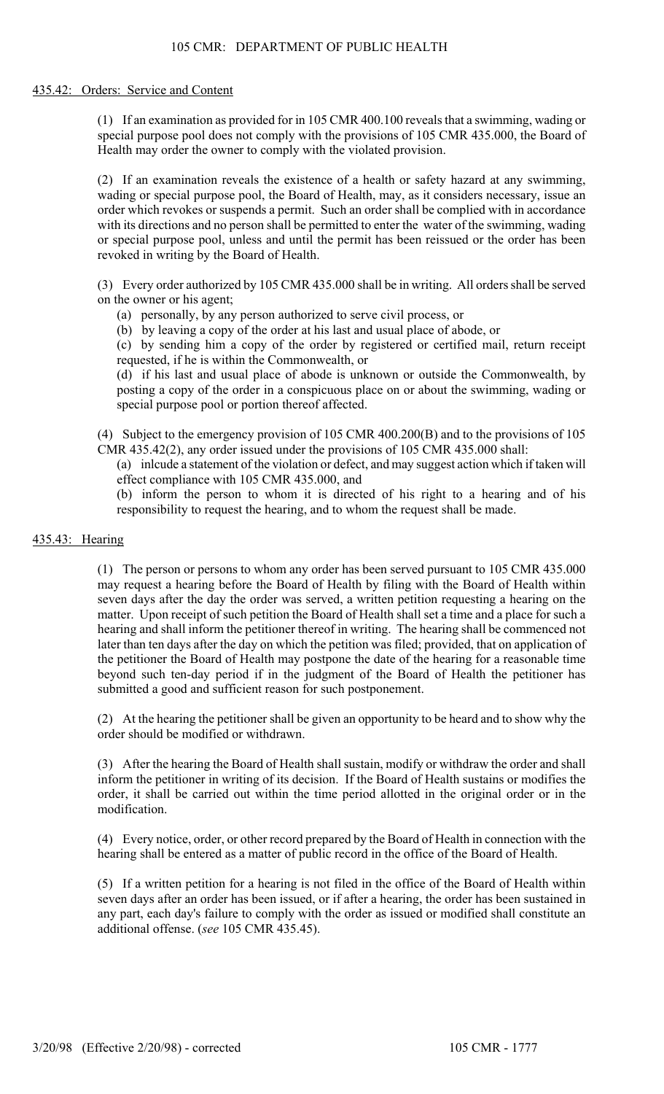#### 435.42: Orders: Service and Content

(1) If an examination as provided for in 105 CMR 400.100 reveals that a swimming, wading or special purpose pool does not comply with the provisions of 105 CMR 435.000, the Board of Health may order the owner to comply with the violated provision.

(2) If an examination reveals the existence of a health or safety hazard at any swimming, wading or special purpose pool, the Board of Health, may, as it considers necessary, issue an order which revokes or suspends a permit. Such an order shall be complied with in accordance with its directions and no person shall be permitted to enter the water of the swimming, wading or special purpose pool, unless and until the permit has been reissued or the order has been revoked in writing by the Board of Health.

(3) Every order authorized by 105 CMR 435.000 shall be in writing. All orders shall be served on the owner or his agent;

(a) personally, by any person authorized to serve civil process, or

(b) by leaving a copy of the order at his last and usual place of abode, or

(c) by sending him a copy of the order by registered or certified mail, return receipt requested, if he is within the Commonwealth, or

(d) if his last and usual place of abode is unknown or outside the Commonwealth, by posting a copy of the order in a conspicuous place on or about the swimming, wading or special purpose pool or portion thereof affected.

(4) Subject to the emergency provision of 105 CMR 400.200(B) and to the provisions of 105 CMR 435.42(2), any order issued under the provisions of 105 CMR 435.000 shall:

(a) inlcude a statement of the violation or defect, and may suggest action which if taken will effect compliance with 105 CMR 435.000, and

(b) inform the person to whom it is directed of his right to a hearing and of his responsibility to request the hearing, and to whom the request shall be made.

## 435.43: Hearing

(1) The person or persons to whom any order has been served pursuant to 105 CMR 435.000 may request a hearing before the Board of Health by filing with the Board of Health within seven days after the day the order was served, a written petition requesting a hearing on the matter. Upon receipt of such petition the Board of Health shall set a time and a place for such a hearing and shall inform the petitioner thereof in writing. The hearing shall be commenced not later than ten days after the day on which the petition was filed; provided, that on application of the petitioner the Board of Health may postpone the date of the hearing for a reasonable time beyond such ten-day period if in the judgment of the Board of Health the petitioner has submitted a good and sufficient reason for such postponement.

(2) At the hearing the petitioner shall be given an opportunity to be heard and to show why the order should be modified or withdrawn.

(3) After the hearing the Board of Health shall sustain, modify or withdraw the order and shall inform the petitioner in writing of its decision. If the Board of Health sustains or modifies the order, it shall be carried out within the time period allotted in the original order or in the modification.

(4) Every notice, order, or other record prepared by the Board of Health in connection with the hearing shall be entered as a matter of public record in the office of the Board of Health.

(5) If a written petition for a hearing is not filed in the office of the Board of Health within seven days after an order has been issued, or if after a hearing, the order has been sustained in any part, each day's failure to comply with the order as issued or modified shall constitute an additional offense. (*see* 105 CMR 435.45).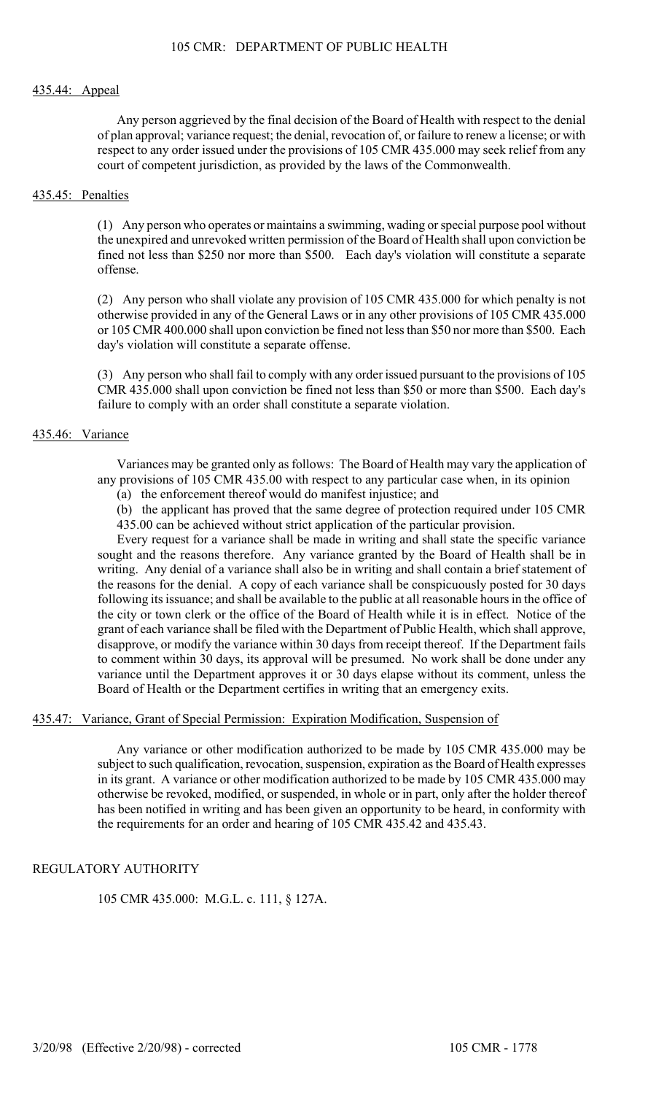#### 435.44: Appeal

Any person aggrieved by the final decision of the Board of Health with respect to the denial of plan approval; variance request; the denial, revocation of, or failure to renew a license; or with respect to any order issued under the provisions of 105 CMR 435.000 may seek relief from any court of competent jurisdiction, as provided by the laws of the Commonwealth.

#### 435.45: Penalties

(1) Any person who operates or maintains a swimming, wading or special purpose pool without the unexpired and unrevoked written permission of the Board of Health shall upon conviction be fined not less than \$250 nor more than \$500. Each day's violation will constitute a separate offense.

(2) Any person who shall violate any provision of 105 CMR 435.000 for which penalty is not otherwise provided in any of the General Laws or in any other provisions of 105 CMR 435.000 or 105 CMR 400.000 shall upon conviction be fined not less than \$50 nor more than \$500. Each day's violation will constitute a separate offense.

(3) Any person who shall fail to comply with any order issued pursuant to the provisions of 105 CMR 435.000 shall upon conviction be fined not less than \$50 or more than \$500. Each day's failure to comply with an order shall constitute a separate violation.

#### 435.46: Variance

Variances may be granted only as follows: The Board of Health may vary the application of any provisions of 105 CMR 435.00 with respect to any particular case when, in its opinion

(a) the enforcement thereof would do manifest injustice; and

(b) the applicant has proved that the same degree of protection required under 105 CMR 435.00 can be achieved without strict application of the particular provision.

Every request for a variance shall be made in writing and shall state the specific variance sought and the reasons therefore. Any variance granted by the Board of Health shall be in writing. Any denial of a variance shall also be in writing and shall contain a brief statement of the reasons for the denial. A copy of each variance shall be conspicuously posted for 30 days following its issuance; and shall be available to the public at all reasonable hours in the office of the city or town clerk or the office of the Board of Health while it is in effect. Notice of the grant of each variance shall be filed with the Department of Public Health, which shall approve, disapprove, or modify the variance within 30 days from receipt thereof. If the Department fails to comment within 30 days, its approval will be presumed. No work shall be done under any variance until the Department approves it or 30 days elapse without its comment, unless the Board of Health or the Department certifies in writing that an emergency exits.

## 435.47: Variance, Grant of Special Permission: Expiration Modification, Suspension of

Any variance or other modification authorized to be made by 105 CMR 435.000 may be subject to such qualification, revocation, suspension, expiration as the Board of Health expresses in its grant. A variance or other modification authorized to be made by 105 CMR 435.000 may otherwise be revoked, modified, or suspended, in whole or in part, only after the holder thereof has been notified in writing and has been given an opportunity to be heard, in conformity with the requirements for an order and hearing of 105 CMR 435.42 and 435.43.

## REGULATORY AUTHORITY

105 CMR 435.000: M.G.L. c. 111, § 127A.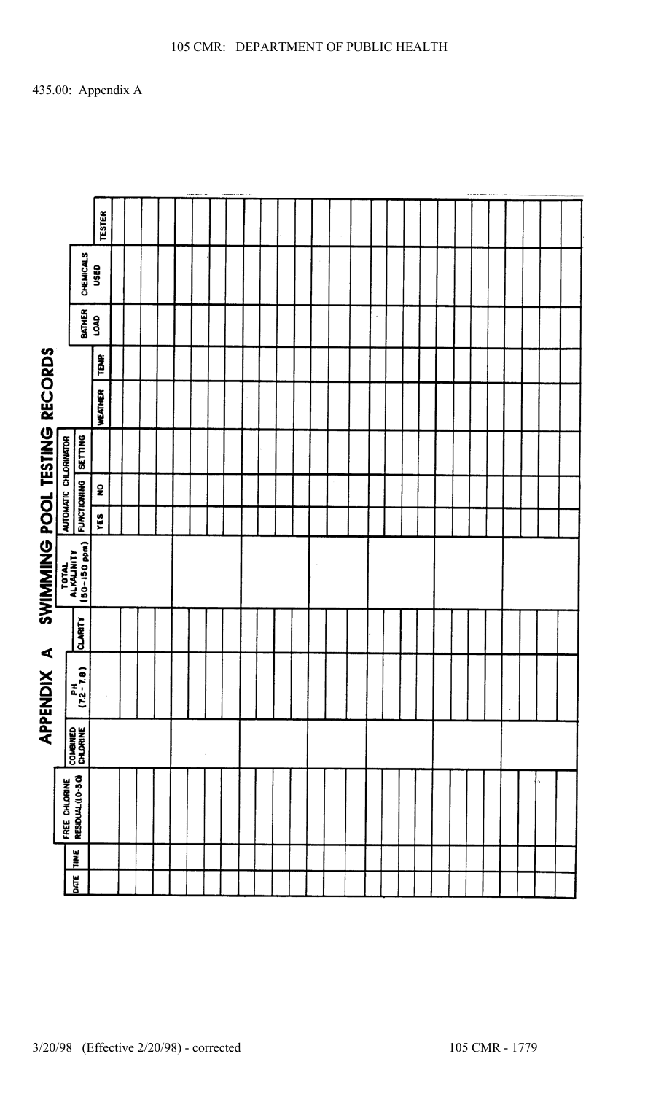|                                         |                       |                                     | <b>TESTER</b>  |  |  |  |  |  |  |  |  |  |  |  |  |  |  |  |  |  |  |  |  |  |  |  |  |  |  |
|-----------------------------------------|-----------------------|-------------------------------------|----------------|--|--|--|--|--|--|--|--|--|--|--|--|--|--|--|--|--|--|--|--|--|--|--|--|--|--|
|                                         |                       | <b>CHEMICALS</b>                    | USED           |  |  |  |  |  |  |  |  |  |  |  |  |  |  |  |  |  |  |  |  |  |  |  |  |  |  |
|                                         |                       | BATHER                              | <b>GYOT</b>    |  |  |  |  |  |  |  |  |  |  |  |  |  |  |  |  |  |  |  |  |  |  |  |  |  |  |
|                                         |                       |                                     | <b>TEMP</b>    |  |  |  |  |  |  |  |  |  |  |  |  |  |  |  |  |  |  |  |  |  |  |  |  |  |  |
| <b>RECORDS</b>                          |                       |                                     | <b>WEATHER</b> |  |  |  |  |  |  |  |  |  |  |  |  |  |  |  |  |  |  |  |  |  |  |  |  |  |  |
|                                         | AUTOMATIC CHLORINATOR | <b>SETTING</b>                      |                |  |  |  |  |  |  |  |  |  |  |  |  |  |  |  |  |  |  |  |  |  |  |  |  |  |  |
|                                         |                       | <b>FUNCTIONING</b>                  | ş              |  |  |  |  |  |  |  |  |  |  |  |  |  |  |  |  |  |  |  |  |  |  |  |  |  |  |
|                                         |                       |                                     | YES            |  |  |  |  |  |  |  |  |  |  |  |  |  |  |  |  |  |  |  |  |  |  |  |  |  |  |
| <b>SWIMMING POOL TESTING</b>            |                       | TOTAL<br>ALKALINITY<br>(50-150 ppm) |                |  |  |  |  |  |  |  |  |  |  |  |  |  |  |  |  |  |  |  |  |  |  |  |  |  |  |
|                                         |                       | CLARITY                             |                |  |  |  |  |  |  |  |  |  |  |  |  |  |  |  |  |  |  |  |  |  |  |  |  |  |  |
| $\blacktriangleleft$<br><b>APPENDIX</b> |                       | $\frac{PH}{(7.2-7.8)}$              | $\bar{z}$      |  |  |  |  |  |  |  |  |  |  |  |  |  |  |  |  |  |  |  |  |  |  |  |  |  |  |
|                                         |                       | COMBINED<br>CHLORINE                |                |  |  |  |  |  |  |  |  |  |  |  |  |  |  |  |  |  |  |  |  |  |  |  |  |  |  |
|                                         | FREE CHLORINE         | RESIDUAL (I.O-3.O)                  |                |  |  |  |  |  |  |  |  |  |  |  |  |  |  |  |  |  |  |  |  |  |  |  |  |  |  |
|                                         |                       | TIME                                |                |  |  |  |  |  |  |  |  |  |  |  |  |  |  |  |  |  |  |  |  |  |  |  |  |  |  |
|                                         |                       | DATE                                |                |  |  |  |  |  |  |  |  |  |  |  |  |  |  |  |  |  |  |  |  |  |  |  |  |  |  |

105 CMR: DEPARTMENT OF PUBLIC HEALTH